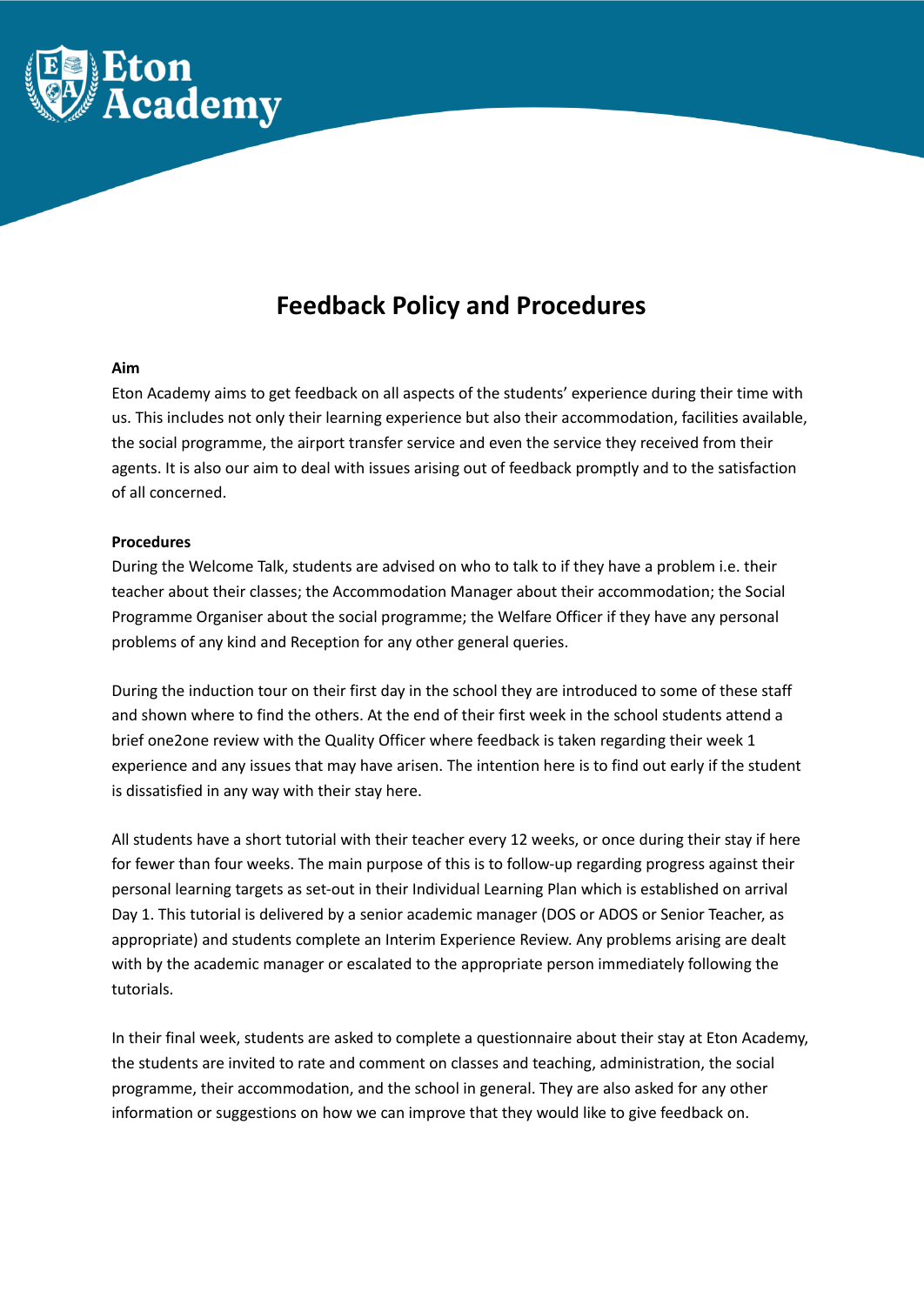

## **Feedback Policy and Procedures**

## **Aim**

Eton Academy aims to get feedback on all aspects of the students' experience during their time with us. This includes not only their learning experience but also their accommodation, facilities available, the social programme, the airport transfer service and even the service they received from their agents. It is also our aim to deal with issues arising out of feedback promptly and to the satisfaction of all concerned.

## **Procedures**

During the Welcome Talk, students are advised on who to talk to if they have a problem i.e. their teacher about their classes; the Accommodation Manager about their accommodation; the Social Programme Organiser about the social programme; the Welfare Officer if they have any personal problems of any kind and Reception for any other general queries.

During the induction tour on their first day in the school they are introduced to some of these staff and shown where to find the others. At the end of their first week in the school students attend a brief one2one review with the Quality Officer where feedback is taken regarding their week 1 experience and any issues that may have arisen. The intention here is to find out early if the student is dissatisfied in any way with their stay here.

All students have a short tutorial with their teacher every 12 weeks, or once during their stay if here for fewer than four weeks. The main purpose of this is to follow-up regarding progress against their personal learning targets as set-out in their Individual Learning Plan which is established on arrival Day 1. This tutorial is delivered by a senior academic manager (DOS or ADOS or Senior Teacher, as appropriate) and students complete an Interim Experience Review. Any problems arising are dealt with by the academic manager or escalated to the appropriate person immediately following the tutorials.

In their final week, students are asked to complete a questionnaire about their stay at Eton Academy, the students are invited to rate and comment on classes and teaching, administration, the social programme, their accommodation, and the school in general. They are also asked for any other information or suggestions on how we can improve that they would like to give feedback on.